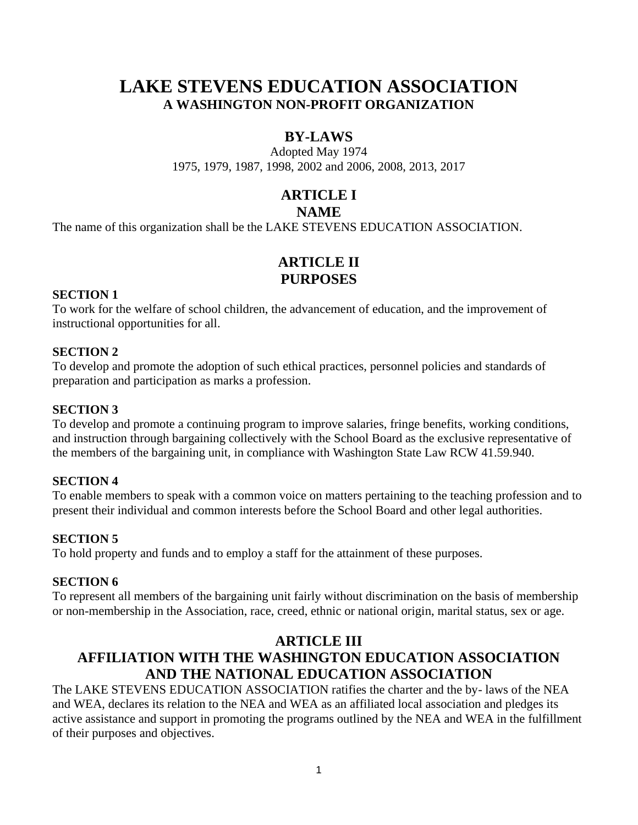# **LAKE STEVENS EDUCATION ASSOCIATION A WASHINGTON NON-PROFIT ORGANIZATION**

## **BY-LAWS**

Adopted May 1974 1975, 1979, 1987, 1998, 2002 and 2006, 2008, 2013, 2017

# **ARTICLE I**

## **NAME**

The name of this organization shall be the LAKE STEVENS EDUCATION ASSOCIATION.

## **ARTICLE II PURPOSES**

#### **SECTION 1**

To work for the welfare of school children, the advancement of education, and the improvement of instructional opportunities for all.

## **SECTION 2**

To develop and promote the adoption of such ethical practices, personnel policies and standards of preparation and participation as marks a profession.

### **SECTION 3**

To develop and promote a continuing program to improve salaries, fringe benefits, working conditions, and instruction through bargaining collectively with the School Board as the exclusive representative of the members of the bargaining unit, in compliance with Washington State Law RCW 41.59.940.

### **SECTION 4**

To enable members to speak with a common voice on matters pertaining to the teaching profession and to present their individual and common interests before the School Board and other legal authorities.

### **SECTION 5**

To hold property and funds and to employ a staff for the attainment of these purposes.

### **SECTION 6**

To represent all members of the bargaining unit fairly without discrimination on the basis of membership or non-membership in the Association, race, creed, ethnic or national origin, marital status, sex or age.

## **ARTICLE III AFFILIATION WITH THE WASHINGTON EDUCATION ASSOCIATION AND THE NATIONAL EDUCATION ASSOCIATION**

The LAKE STEVENS EDUCATION ASSOCIATION ratifies the charter and the by- laws of the NEA and WEA, declares its relation to the NEA and WEA as an affiliated local association and pledges its active assistance and support in promoting the programs outlined by the NEA and WEA in the fulfillment of their purposes and objectives.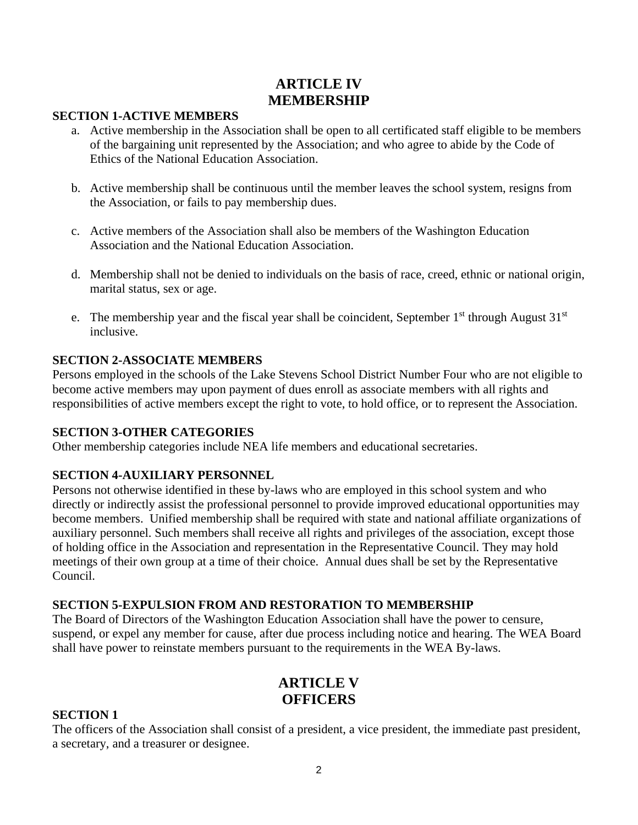## **ARTICLE IV MEMBERSHIP**

#### **SECTION 1-ACTIVE MEMBERS**

- a. Active membership in the Association shall be open to all certificated staff eligible to be members of the bargaining unit represented by the Association; and who agree to abide by the Code of Ethics of the National Education Association.
- b. Active membership shall be continuous until the member leaves the school system, resigns from the Association, or fails to pay membership dues.
- c. Active members of the Association shall also be members of the Washington Education Association and the National Education Association.
- d. Membership shall not be denied to individuals on the basis of race, creed, ethnic or national origin, marital status, sex or age.
- e. The membership year and the fiscal year shall be coincident, September  $1<sup>st</sup>$  through August  $31<sup>st</sup>$ inclusive.

#### **SECTION 2-ASSOCIATE MEMBERS**

Persons employed in the schools of the Lake Stevens School District Number Four who are not eligible to become active members may upon payment of dues enroll as associate members with all rights and responsibilities of active members except the right to vote, to hold office, or to represent the Association.

#### **SECTION 3-OTHER CATEGORIES**

Other membership categories include NEA life members and educational secretaries.

#### **SECTION 4-AUXILIARY PERSONNEL**

Persons not otherwise identified in these by-laws who are employed in this school system and who directly or indirectly assist the professional personnel to provide improved educational opportunities may become members. Unified membership shall be required with state and national affiliate organizations of auxiliary personnel. Such members shall receive all rights and privileges of the association, except those of holding office in the Association and representation in the Representative Council. They may hold meetings of their own group at a time of their choice. Annual dues shall be set by the Representative Council.

#### **SECTION 5-EXPULSION FROM AND RESTORATION TO MEMBERSHIP**

The Board of Directors of the Washington Education Association shall have the power to censure, suspend, or expel any member for cause, after due process including notice and hearing. The WEA Board shall have power to reinstate members pursuant to the requirements in the WEA By-laws.

## **ARTICLE V OFFICERS**

#### **SECTION 1**

The officers of the Association shall consist of a president, a vice president, the immediate past president, a secretary, and a treasurer or designee.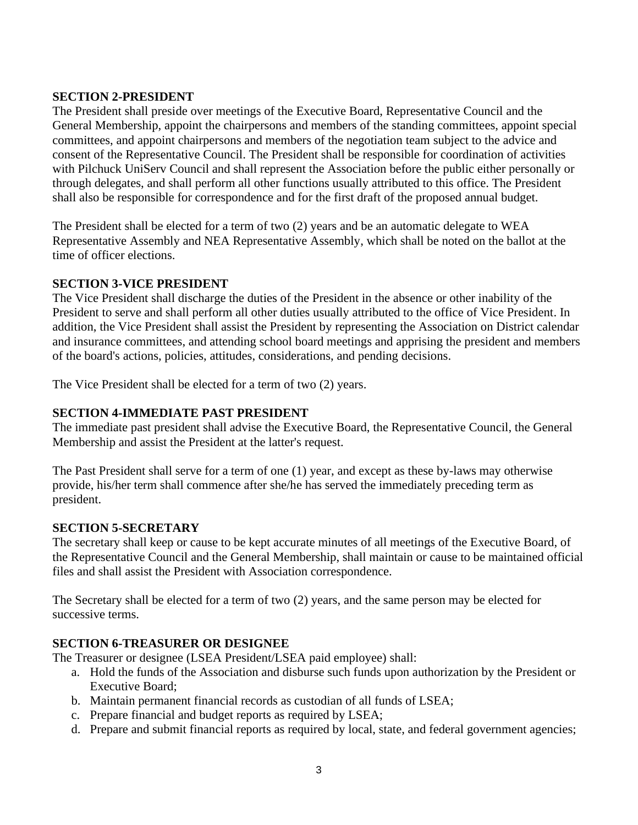#### **SECTION 2-PRESIDENT**

The President shall preside over meetings of the Executive Board, Representative Council and the General Membership, appoint the chairpersons and members of the standing committees, appoint special committees, and appoint chairpersons and members of the negotiation team subject to the advice and consent of the Representative Council. The President shall be responsible for coordination of activities with Pilchuck UniServ Council and shall represent the Association before the public either personally or through delegates, and shall perform all other functions usually attributed to this office. The President shall also be responsible for correspondence and for the first draft of the proposed annual budget.

The President shall be elected for a term of two (2) years and be an automatic delegate to WEA Representative Assembly and NEA Representative Assembly, which shall be noted on the ballot at the time of officer elections.

#### **SECTION 3-VICE PRESIDENT**

The Vice President shall discharge the duties of the President in the absence or other inability of the President to serve and shall perform all other duties usually attributed to the office of Vice President. In addition, the Vice President shall assist the President by representing the Association on District calendar and insurance committees, and attending school board meetings and apprising the president and members of the board's actions, policies, attitudes, considerations, and pending decisions.

The Vice President shall be elected for a term of two (2) years.

### **SECTION 4-IMMEDIATE PAST PRESIDENT**

The immediate past president shall advise the Executive Board, the Representative Council, the General Membership and assist the President at the latter's request.

The Past President shall serve for a term of one (1) year, and except as these by-laws may otherwise provide, his/her term shall commence after she/he has served the immediately preceding term as president.

#### **SECTION 5-SECRETARY**

The secretary shall keep or cause to be kept accurate minutes of all meetings of the Executive Board, of the Representative Council and the General Membership, shall maintain or cause to be maintained official files and shall assist the President with Association correspondence.

The Secretary shall be elected for a term of two (2) years, and the same person may be elected for successive terms.

#### **SECTION 6-TREASURER OR DESIGNEE**

The Treasurer or designee (LSEA President/LSEA paid employee) shall:

- a. Hold the funds of the Association and disburse such funds upon authorization by the President or Executive Board;
- b. Maintain permanent financial records as custodian of all funds of LSEA;
- c. Prepare financial and budget reports as required by LSEA;
- d. Prepare and submit financial reports as required by local, state, and federal government agencies;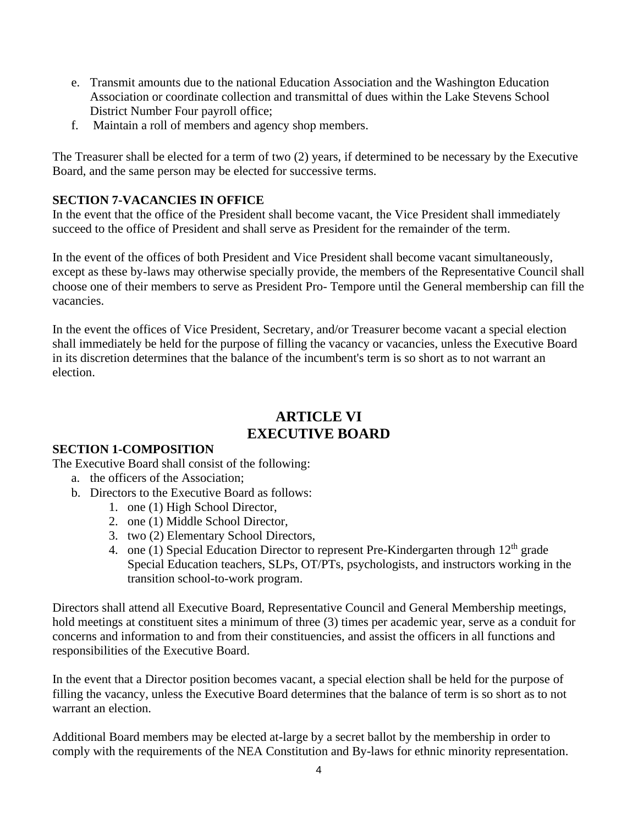- e. Transmit amounts due to the national Education Association and the Washington Education Association or coordinate collection and transmittal of dues within the Lake Stevens School District Number Four payroll office;
- f. Maintain a roll of members and agency shop members.

The Treasurer shall be elected for a term of two (2) years, if determined to be necessary by the Executive Board, and the same person may be elected for successive terms.

## **SECTION 7-VACANCIES IN OFFICE**

In the event that the office of the President shall become vacant, the Vice President shall immediately succeed to the office of President and shall serve as President for the remainder of the term.

In the event of the offices of both President and Vice President shall become vacant simultaneously, except as these by-laws may otherwise specially provide, the members of the Representative Council shall choose one of their members to serve as President Pro- Tempore until the General membership can fill the vacancies.

In the event the offices of Vice President, Secretary, and/or Treasurer become vacant a special election shall immediately be held for the purpose of filling the vacancy or vacancies, unless the Executive Board in its discretion determines that the balance of the incumbent's term is so short as to not warrant an election.

## **ARTICLE VI EXECUTIVE BOARD**

## **SECTION 1-COMPOSITION**

The Executive Board shall consist of the following:

- a. the officers of the Association;
- b. Directors to the Executive Board as follows:
	- 1. one (1) High School Director,
	- 2. one (1) Middle School Director,
	- 3. two (2) Elementary School Directors,
	- 4. one (1) Special Education Director to represent Pre-Kindergarten through 12<sup>th</sup> grade Special Education teachers, SLPs, OT/PTs, psychologists, and instructors working in the transition school-to-work program.

Directors shall attend all Executive Board, Representative Council and General Membership meetings, hold meetings at constituent sites a minimum of three (3) times per academic year, serve as a conduit for concerns and information to and from their constituencies, and assist the officers in all functions and responsibilities of the Executive Board.

In the event that a Director position becomes vacant, a special election shall be held for the purpose of filling the vacancy, unless the Executive Board determines that the balance of term is so short as to not warrant an election.

Additional Board members may be elected at-large by a secret ballot by the membership in order to comply with the requirements of the NEA Constitution and By-laws for ethnic minority representation.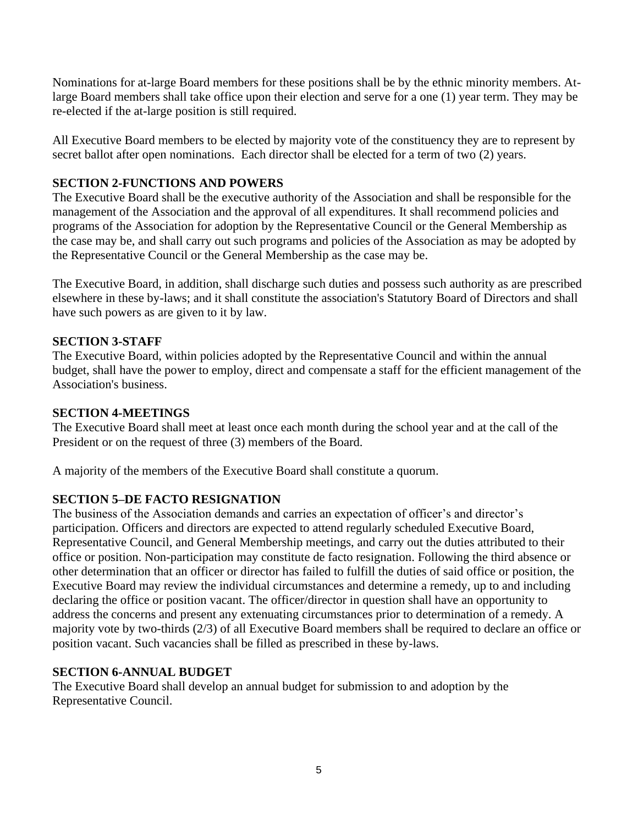Nominations for at-large Board members for these positions shall be by the ethnic minority members. Atlarge Board members shall take office upon their election and serve for a one (1) year term. They may be re-elected if the at-large position is still required.

All Executive Board members to be elected by majority vote of the constituency they are to represent by secret ballot after open nominations. Each director shall be elected for a term of two (2) years.

### **SECTION 2-FUNCTIONS AND POWERS**

The Executive Board shall be the executive authority of the Association and shall be responsible for the management of the Association and the approval of all expenditures. It shall recommend policies and programs of the Association for adoption by the Representative Council or the General Membership as the case may be, and shall carry out such programs and policies of the Association as may be adopted by the Representative Council or the General Membership as the case may be.

The Executive Board, in addition, shall discharge such duties and possess such authority as are prescribed elsewhere in these by-laws; and it shall constitute the association's Statutory Board of Directors and shall have such powers as are given to it by law.

### **SECTION 3-STAFF**

The Executive Board, within policies adopted by the Representative Council and within the annual budget, shall have the power to employ, direct and compensate a staff for the efficient management of the Association's business.

### **SECTION 4-MEETINGS**

The Executive Board shall meet at least once each month during the school year and at the call of the President or on the request of three (3) members of the Board.

A majority of the members of the Executive Board shall constitute a quorum.

## **SECTION 5–DE FACTO RESIGNATION**

The business of the Association demands and carries an expectation of officer's and director's participation. Officers and directors are expected to attend regularly scheduled Executive Board, Representative Council, and General Membership meetings, and carry out the duties attributed to their office or position. Non-participation may constitute de facto resignation. Following the third absence or other determination that an officer or director has failed to fulfill the duties of said office or position, the Executive Board may review the individual circumstances and determine a remedy, up to and including declaring the office or position vacant. The officer/director in question shall have an opportunity to address the concerns and present any extenuating circumstances prior to determination of a remedy. A majority vote by two-thirds (2/3) of all Executive Board members shall be required to declare an office or position vacant. Such vacancies shall be filled as prescribed in these by-laws.

### **SECTION 6-ANNUAL BUDGET**

The Executive Board shall develop an annual budget for submission to and adoption by the Representative Council.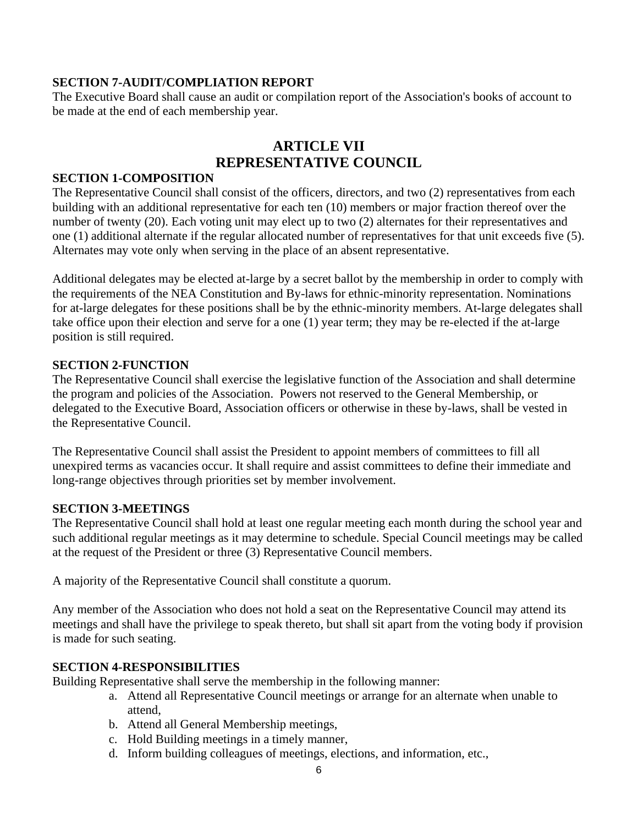### **SECTION 7-AUDIT/COMPLIATION REPORT**

The Executive Board shall cause an audit or compilation report of the Association's books of account to be made at the end of each membership year.

## **ARTICLE VII REPRESENTATIVE COUNCIL**

#### **SECTION 1-COMPOSITION**

The Representative Council shall consist of the officers, directors, and two (2) representatives from each building with an additional representative for each ten (10) members or major fraction thereof over the number of twenty (20). Each voting unit may elect up to two (2) alternates for their representatives and one (1) additional alternate if the regular allocated number of representatives for that unit exceeds five (5). Alternates may vote only when serving in the place of an absent representative.

Additional delegates may be elected at-large by a secret ballot by the membership in order to comply with the requirements of the NEA Constitution and By-laws for ethnic-minority representation. Nominations for at-large delegates for these positions shall be by the ethnic-minority members. At-large delegates shall take office upon their election and serve for a one (1) year term; they may be re-elected if the at-large position is still required.

#### **SECTION 2-FUNCTION**

The Representative Council shall exercise the legislative function of the Association and shall determine the program and policies of the Association. Powers not reserved to the General Membership, or delegated to the Executive Board, Association officers or otherwise in these by-laws, shall be vested in the Representative Council.

The Representative Council shall assist the President to appoint members of committees to fill all unexpired terms as vacancies occur. It shall require and assist committees to define their immediate and long-range objectives through priorities set by member involvement.

### **SECTION 3-MEETINGS**

The Representative Council shall hold at least one regular meeting each month during the school year and such additional regular meetings as it may determine to schedule. Special Council meetings may be called at the request of the President or three (3) Representative Council members.

A majority of the Representative Council shall constitute a quorum.

Any member of the Association who does not hold a seat on the Representative Council may attend its meetings and shall have the privilege to speak thereto, but shall sit apart from the voting body if provision is made for such seating.

### **SECTION 4-RESPONSIBILITIES**

Building Representative shall serve the membership in the following manner:

- a. Attend all Representative Council meetings or arrange for an alternate when unable to attend,
- b. Attend all General Membership meetings,
- c. Hold Building meetings in a timely manner,
- d. Inform building colleagues of meetings, elections, and information, etc.,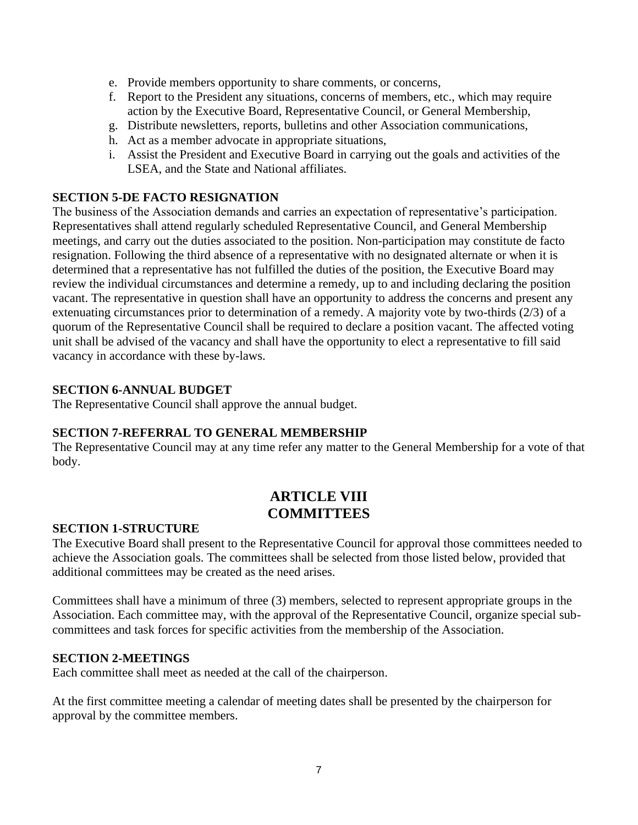- e. Provide members opportunity to share comments, or concerns,
- f. Report to the President any situations, concerns of members, etc., which may require action by the Executive Board, Representative Council, or General Membership,
- g. Distribute newsletters, reports, bulletins and other Association communications,
- h. Act as a member advocate in appropriate situations,
- i. Assist the President and Executive Board in carrying out the goals and activities of the LSEA, and the State and National affiliates.

#### **SECTION 5-DE FACTO RESIGNATION**

The business of the Association demands and carries an expectation of representative's participation. Representatives shall attend regularly scheduled Representative Council, and General Membership meetings, and carry out the duties associated to the position. Non-participation may constitute de facto resignation. Following the third absence of a representative with no designated alternate or when it is determined that a representative has not fulfilled the duties of the position, the Executive Board may review the individual circumstances and determine a remedy, up to and including declaring the position vacant. The representative in question shall have an opportunity to address the concerns and present any extenuating circumstances prior to determination of a remedy. A majority vote by two-thirds (2/3) of a quorum of the Representative Council shall be required to declare a position vacant. The affected voting unit shall be advised of the vacancy and shall have the opportunity to elect a representative to fill said vacancy in accordance with these by-laws.

#### **SECTION 6-ANNUAL BUDGET**

The Representative Council shall approve the annual budget.

#### **SECTION 7-REFERRAL TO GENERAL MEMBERSHIP**

The Representative Council may at any time refer any matter to the General Membership for a vote of that body.

## **ARTICLE VIII COMMITTEES**

#### **SECTION 1-STRUCTURE**

The Executive Board shall present to the Representative Council for approval those committees needed to achieve the Association goals. The committees shall be selected from those listed below, provided that additional committees may be created as the need arises.

Committees shall have a minimum of three (3) members, selected to represent appropriate groups in the Association. Each committee may, with the approval of the Representative Council, organize special subcommittees and task forces for specific activities from the membership of the Association.

#### **SECTION 2-MEETINGS**

Each committee shall meet as needed at the call of the chairperson.

At the first committee meeting a calendar of meeting dates shall be presented by the chairperson for approval by the committee members.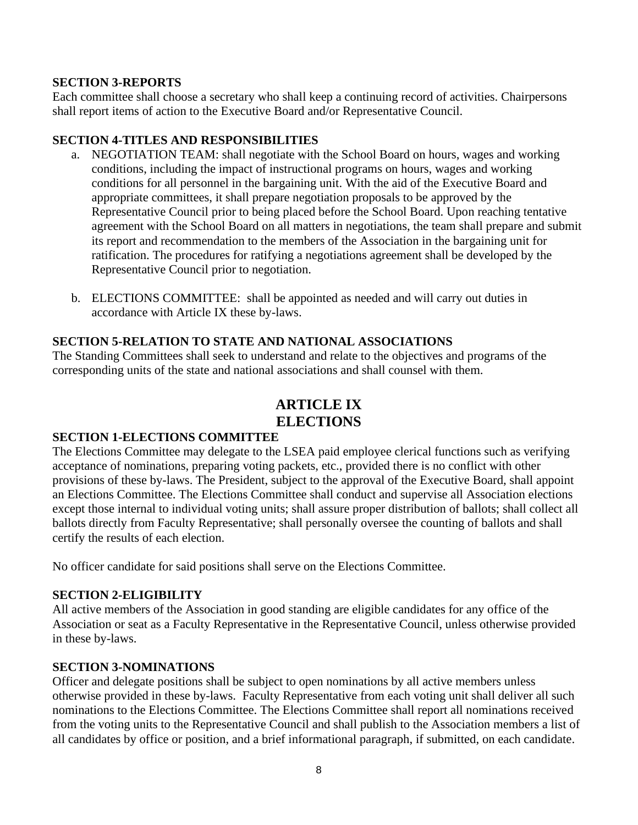#### **SECTION 3-REPORTS**

Each committee shall choose a secretary who shall keep a continuing record of activities. Chairpersons shall report items of action to the Executive Board and/or Representative Council.

#### **SECTION 4-TITLES AND RESPONSIBILITIES**

- a. NEGOTIATION TEAM: shall negotiate with the School Board on hours, wages and working conditions, including the impact of instructional programs on hours, wages and working conditions for all personnel in the bargaining unit. With the aid of the Executive Board and appropriate committees, it shall prepare negotiation proposals to be approved by the Representative Council prior to being placed before the School Board. Upon reaching tentative agreement with the School Board on all matters in negotiations, the team shall prepare and submit its report and recommendation to the members of the Association in the bargaining unit for ratification. The procedures for ratifying a negotiations agreement shall be developed by the Representative Council prior to negotiation.
- b. ELECTIONS COMMITTEE: shall be appointed as needed and will carry out duties in accordance with Article IX these by-laws.

### **SECTION 5-RELATION TO STATE AND NATIONAL ASSOCIATIONS**

The Standing Committees shall seek to understand and relate to the objectives and programs of the corresponding units of the state and national associations and shall counsel with them.

## **ARTICLE IX ELECTIONS**

#### **SECTION 1-ELECTIONS COMMITTEE**

The Elections Committee may delegate to the LSEA paid employee clerical functions such as verifying acceptance of nominations, preparing voting packets, etc., provided there is no conflict with other provisions of these by-laws. The President, subject to the approval of the Executive Board, shall appoint an Elections Committee. The Elections Committee shall conduct and supervise all Association elections except those internal to individual voting units; shall assure proper distribution of ballots; shall collect all ballots directly from Faculty Representative; shall personally oversee the counting of ballots and shall certify the results of each election.

No officer candidate for said positions shall serve on the Elections Committee.

### **SECTION 2-ELIGIBILITY**

All active members of the Association in good standing are eligible candidates for any office of the Association or seat as a Faculty Representative in the Representative Council, unless otherwise provided in these by-laws.

### **SECTION 3-NOMINATIONS**

Officer and delegate positions shall be subject to open nominations by all active members unless otherwise provided in these by-laws. Faculty Representative from each voting unit shall deliver all such nominations to the Elections Committee. The Elections Committee shall report all nominations received from the voting units to the Representative Council and shall publish to the Association members a list of all candidates by office or position, and a brief informational paragraph, if submitted, on each candidate.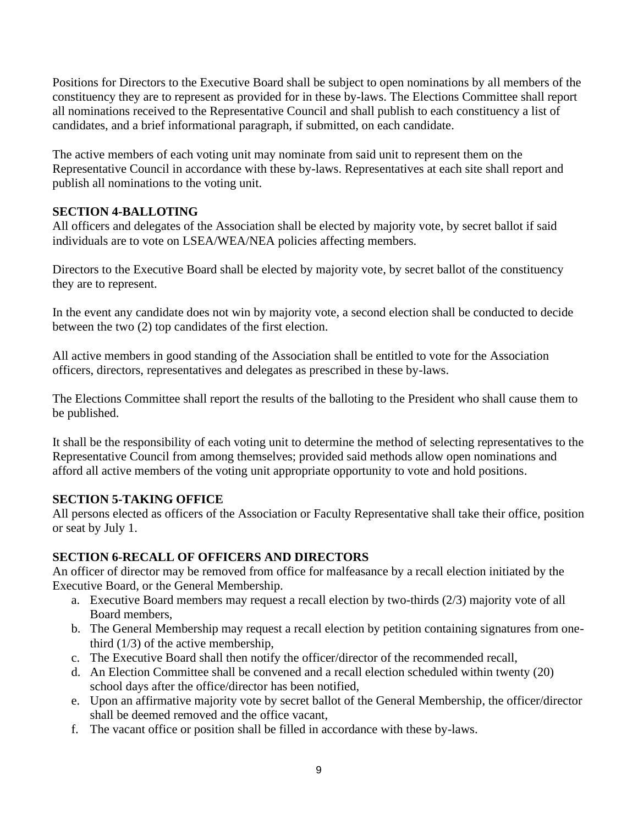Positions for Directors to the Executive Board shall be subject to open nominations by all members of the constituency they are to represent as provided for in these by-laws. The Elections Committee shall report all nominations received to the Representative Council and shall publish to each constituency a list of candidates, and a brief informational paragraph, if submitted, on each candidate.

The active members of each voting unit may nominate from said unit to represent them on the Representative Council in accordance with these by-laws. Representatives at each site shall report and publish all nominations to the voting unit.

## **SECTION 4-BALLOTING**

All officers and delegates of the Association shall be elected by majority vote, by secret ballot if said individuals are to vote on LSEA/WEA/NEA policies affecting members.

Directors to the Executive Board shall be elected by majority vote, by secret ballot of the constituency they are to represent.

In the event any candidate does not win by majority vote, a second election shall be conducted to decide between the two (2) top candidates of the first election.

All active members in good standing of the Association shall be entitled to vote for the Association officers, directors, representatives and delegates as prescribed in these by-laws.

The Elections Committee shall report the results of the balloting to the President who shall cause them to be published.

It shall be the responsibility of each voting unit to determine the method of selecting representatives to the Representative Council from among themselves; provided said methods allow open nominations and afford all active members of the voting unit appropriate opportunity to vote and hold positions.

### **SECTION 5-TAKING OFFICE**

All persons elected as officers of the Association or Faculty Representative shall take their office, position or seat by July 1.

### **SECTION 6-RECALL OF OFFICERS AND DIRECTORS**

An officer of director may be removed from office for malfeasance by a recall election initiated by the Executive Board, or the General Membership.

- a. Executive Board members may request a recall election by two-thirds (2/3) majority vote of all Board members,
- b. The General Membership may request a recall election by petition containing signatures from onethird (1/3) of the active membership,
- c. The Executive Board shall then notify the officer/director of the recommended recall,
- d. An Election Committee shall be convened and a recall election scheduled within twenty (20) school days after the office/director has been notified,
- e. Upon an affirmative majority vote by secret ballot of the General Membership, the officer/director shall be deemed removed and the office vacant,
- f. The vacant office or position shall be filled in accordance with these by-laws.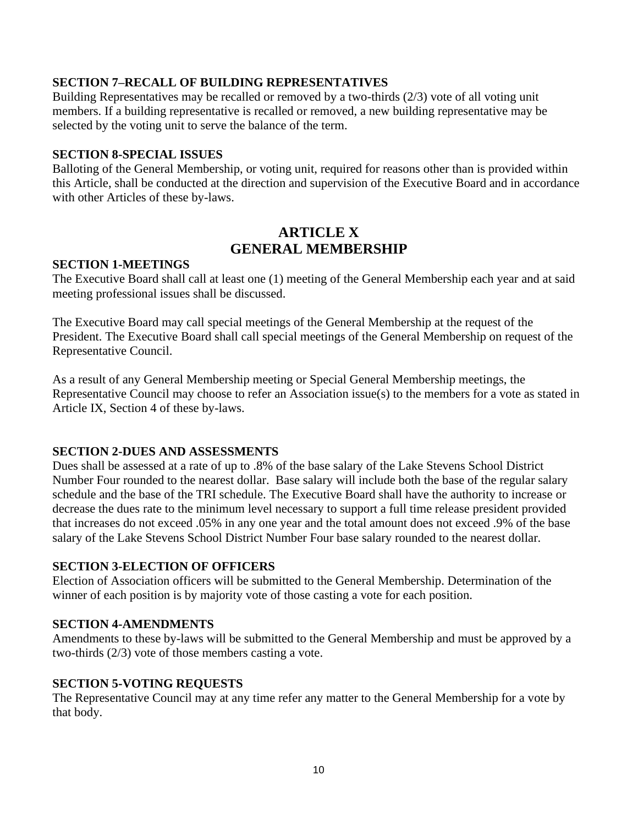#### **SECTION 7–RECALL OF BUILDING REPRESENTATIVES**

Building Representatives may be recalled or removed by a two-thirds (2/3) vote of all voting unit members. If a building representative is recalled or removed, a new building representative may be selected by the voting unit to serve the balance of the term.

#### **SECTION 8-SPECIAL ISSUES**

Balloting of the General Membership, or voting unit, required for reasons other than is provided within this Article, shall be conducted at the direction and supervision of the Executive Board and in accordance with other Articles of these by-laws.

## **ARTICLE X GENERAL MEMBERSHIP**

#### **SECTION 1-MEETINGS**

The Executive Board shall call at least one (1) meeting of the General Membership each year and at said meeting professional issues shall be discussed.

The Executive Board may call special meetings of the General Membership at the request of the President. The Executive Board shall call special meetings of the General Membership on request of the Representative Council.

As a result of any General Membership meeting or Special General Membership meetings, the Representative Council may choose to refer an Association issue(s) to the members for a vote as stated in Article IX, Section 4 of these by-laws.

#### **SECTION 2-DUES AND ASSESSMENTS**

Dues shall be assessed at a rate of up to .8% of the base salary of the Lake Stevens School District Number Four rounded to the nearest dollar. Base salary will include both the base of the regular salary schedule and the base of the TRI schedule. The Executive Board shall have the authority to increase or decrease the dues rate to the minimum level necessary to support a full time release president provided that increases do not exceed .05% in any one year and the total amount does not exceed .9% of the base salary of the Lake Stevens School District Number Four base salary rounded to the nearest dollar.

#### **SECTION 3-ELECTION OF OFFICERS**

Election of Association officers will be submitted to the General Membership. Determination of the winner of each position is by majority vote of those casting a vote for each position.

#### **SECTION 4-AMENDMENTS**

Amendments to these by-laws will be submitted to the General Membership and must be approved by a two-thirds (2/3) vote of those members casting a vote.

### **SECTION 5-VOTING REQUESTS**

The Representative Council may at any time refer any matter to the General Membership for a vote by that body.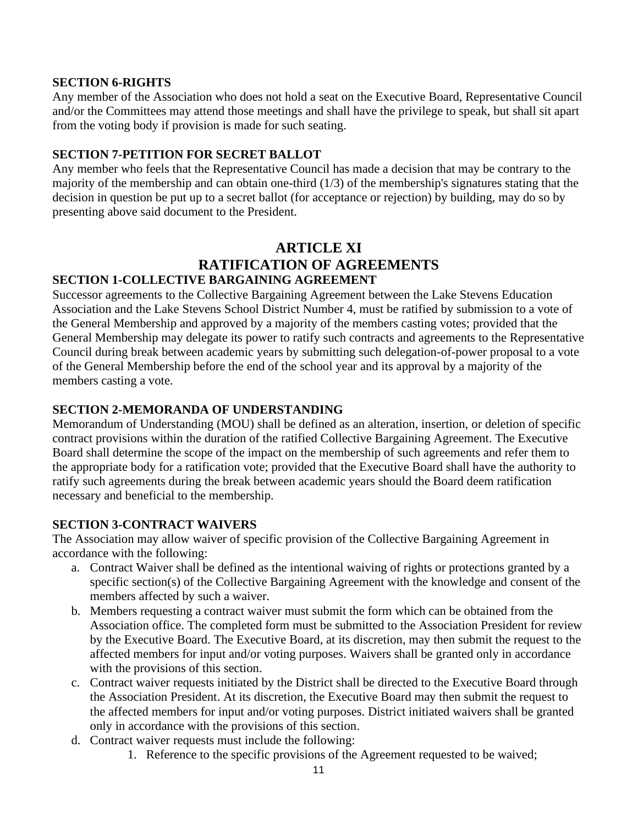#### **SECTION 6-RIGHTS**

Any member of the Association who does not hold a seat on the Executive Board, Representative Council and/or the Committees may attend those meetings and shall have the privilege to speak, but shall sit apart from the voting body if provision is made for such seating.

### **SECTION 7-PETITION FOR SECRET BALLOT**

Any member who feels that the Representative Council has made a decision that may be contrary to the majority of the membership and can obtain one-third (1/3) of the membership's signatures stating that the decision in question be put up to a secret ballot (for acceptance or rejection) by building, may do so by presenting above said document to the President.

## **ARTICLE XI RATIFICATION OF AGREEMENTS SECTION 1-COLLECTIVE BARGAINING AGREEMENT**

### Successor agreements to the Collective Bargaining Agreement between the Lake Stevens Education Association and the Lake Stevens School District Number 4, must be ratified by submission to a vote of the General Membership and approved by a majority of the members casting votes; provided that the General Membership may delegate its power to ratify such contracts and agreements to the Representative Council during break between academic years by submitting such delegation-of-power proposal to a vote of the General Membership before the end of the school year and its approval by a majority of the members casting a vote.

## **SECTION 2-MEMORANDA OF UNDERSTANDING**

Memorandum of Understanding (MOU) shall be defined as an alteration, insertion, or deletion of specific contract provisions within the duration of the ratified Collective Bargaining Agreement. The Executive Board shall determine the scope of the impact on the membership of such agreements and refer them to the appropriate body for a ratification vote; provided that the Executive Board shall have the authority to ratify such agreements during the break between academic years should the Board deem ratification necessary and beneficial to the membership.

### **SECTION 3-CONTRACT WAIVERS**

The Association may allow waiver of specific provision of the Collective Bargaining Agreement in accordance with the following:

- a. Contract Waiver shall be defined as the intentional waiving of rights or protections granted by a specific section(s) of the Collective Bargaining Agreement with the knowledge and consent of the members affected by such a waiver.
- b. Members requesting a contract waiver must submit the form which can be obtained from the Association office. The completed form must be submitted to the Association President for review by the Executive Board. The Executive Board, at its discretion, may then submit the request to the affected members for input and/or voting purposes. Waivers shall be granted only in accordance with the provisions of this section.
- c. Contract waiver requests initiated by the District shall be directed to the Executive Board through the Association President. At its discretion, the Executive Board may then submit the request to the affected members for input and/or voting purposes. District initiated waivers shall be granted only in accordance with the provisions of this section.
- d. Contract waiver requests must include the following:
	- 1. Reference to the specific provisions of the Agreement requested to be waived;